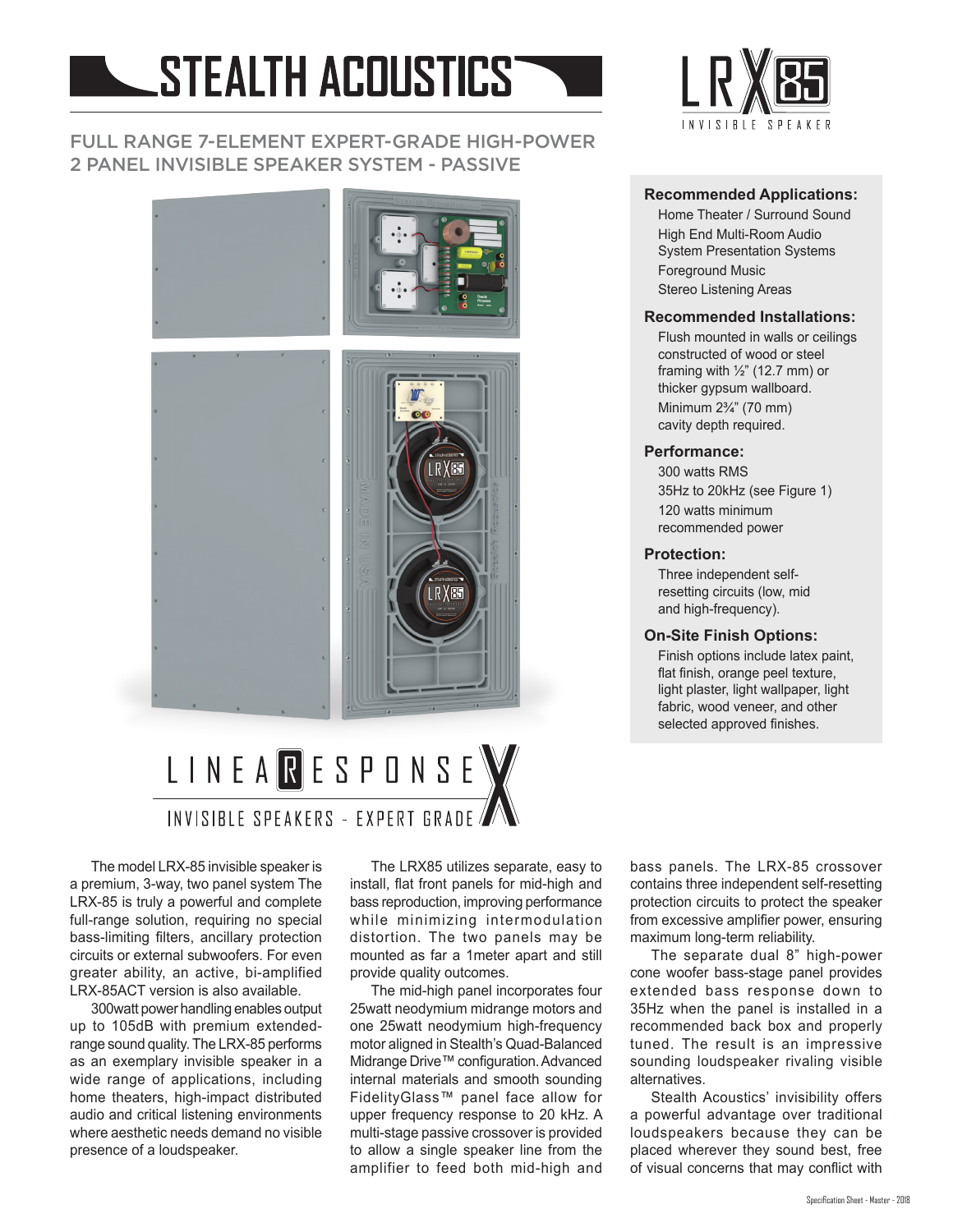# STEALTH ACOUSTICS

### FULL RANGE 7-ELEMENT EXPERT-GRADE HIGH-POWER 2 PANEL INVISIBLE SPEAKER SYSTEM - PASSIVE



# LINEARESPONSE INVISIBLE SPEAKERS - EXPERT GRADE

The model LRX-85 invisible speaker is a premium, 3-way, two panel system The LRX-85 is truly a powerful and complete full-range solution, requiring no special bass-limiting filters, ancillary protection circuits or external subwoofers. For even greater ability, an active, bi-amplified LRX-85ACT version is also available.

300watt power handling enables output up to 105dB with premium extendedrange sound quality. The LRX-85 performs as an exemplary invisible speaker in a wide range of applications, including home theaters, high-impact distributed audio and critical listening environments where aesthetic needs demand no visible presence of a loudspeaker.

The LRX85 utilizes separate, easy to install, flat front panels for mid-high and bass reproduction, improving performance while minimizing intermodulation distortion. The two panels may be mounted as far a 1meter apart and still provide quality outcomes.

The mid-high panel incorporates four 25watt neodymium midrange motors and one 25watt neodymium high-frequency motor aligned in Stealth's Quad-Balanced Midrange Drive™ configuration. Advanced internal materials and smooth sounding FidelityGlass™ panel face allow for upper frequency response to 20 kHz. A multi-stage passive crossover is provided to allow a single speaker line from the amplifier to feed both mid-high and

bass panels. The LRX-85 crossover contains three independent self-resetting protection circuits to protect the speaker from excessive amplifier power, ensuring maximum long-term reliability.

The separate dual 8" high-power cone woofer bass-stage panel provides extended bass response down to 35Hz when the panel is installed in a recommended back box and properly tuned. The result is an impressive sounding loudspeaker rivaling visible alternatives.

Stealth Acoustics' invisibility offers a powerful advantage over traditional loudspeakers because they can be placed wherever they sound best, free of visual concerns that may conflict with



#### **Recommended Applications:**

Home Theater / Surround Sound High End Multi-Room Audio System Presentation Systems Foreground Music Stereo Listening Areas

#### **Recommended Installations:**

Flush mounted in walls or ceilings constructed of wood or steel framing with  $\frac{1}{2}$ " (12.7 mm) or thicker gypsum wallboard. Minimum 2¾" (70 mm) cavity depth required.

#### **Performance:**

300 watts RMS 35Hz to 20kHz (see Figure 1) 120 watts minimum recommended power

#### **Protection:**

Three independent selfresetting circuits (low, mid and high-frequency).

#### **On-Site Finish Options:**

Finish options include latex paint, flat finish, orange peel texture, light plaster, light wallpaper, light fabric, wood veneer, and other selected approved finishes.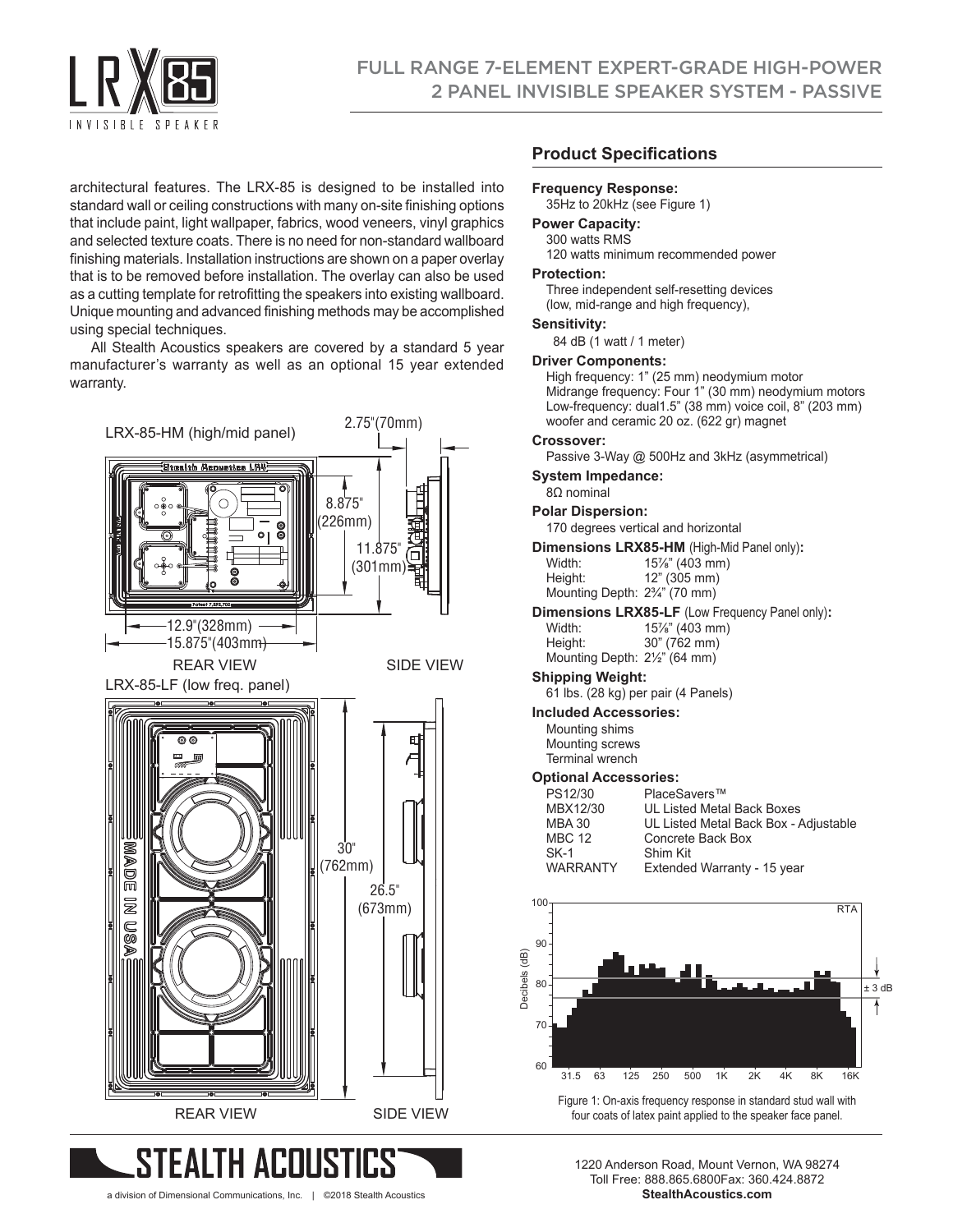

architectural features. The LRX-85 is designed to be installed into standard wall or ceiling constructions with many on-site finishing options that include paint, light wallpaper, fabrics, wood veneers, vinyl graphics and selected texture coats. There is no need for non-standard wallboard finishing materials. Installation instructions are shown on a paper overlay that is to be removed before installation. The overlay can also be used as a cutting template for retrofitting the speakers into existing wallboard. Unique mounting and advanced finishing methods may be accomplished using special techniques.

All Stealth Acoustics speakers are covered by a standard 5 year manufacturer's warranty as well as an optional 15 year extended warranty.



#### **Product Specifications**

#### **Frequency Response:**

35Hz to 20kHz (see Figure 1)

#### **Power Capacity:**

300 watts RMS 120 watts minimum recommended power

#### **Protection:**

Three independent self-resetting devices (low, mid-range and high frequency),

#### **Sensitivity:**

84 dB (1 watt / 1 meter)

#### **Driver Components:**

High frequency: 1" (25 mm) neodymium motor Midrange frequency: Four 1" (30 mm) neodymium motors Low-frequency: dual1.5" (38 mm) voice coil, 8" (203 mm) woofer and ceramic 20 oz. (622 gr) magnet

#### **Crossover:**

Passive 3-Way @ 500Hz and 3kHz (asymmetrical)

#### **System Impedance:**

8Ω nominal

#### **Polar Dispersion:**

170 degrees vertical and horizontal

**Dimensions LRX85-HM** (High-Mid Panel only)**:**

| Width:                                     | 15%" (403 mm) |
|--------------------------------------------|---------------|
| Height:                                    | 12" (305 mm)  |
| Mounting Depth: 2 <sup>3</sup> /4" (70 mm) |               |

## **Dimensions LRX85-LF** (Low Frequency Panel only)**:**

Width: 15<sup>7/</sup>s" (403 mm)<br>
Height: 30" (762 mm) 30" (762 mm) Mounting Depth: 2½" (64 mm)

#### **Shipping Weight:**

61 lbs. (28 kg) per pair (4 Panels)

#### **Included Accessories:**

Mounting shims Mounting screws Terminal wrench

#### **Optional Accessories:**

| ----------------------- |                                       |  |
|-------------------------|---------------------------------------|--|
| PS12/30                 | PlaceSavers™                          |  |
| MBX12/30                | UL Listed Metal Back Boxes            |  |
| <b>MBA 30</b>           | UL Listed Metal Back Box - Adjustable |  |
| <b>MBC 12</b>           | Concrete Back Box                     |  |
| $SK-1$                  | Shim Kit                              |  |
| <b>WARRANTY</b>         | Extended Warranty - 15 year           |  |
|                         |                                       |  |



a division of Dimensional Communications, Inc. | ©2018 Stealth Acoustics **StealthAcoustics.com**